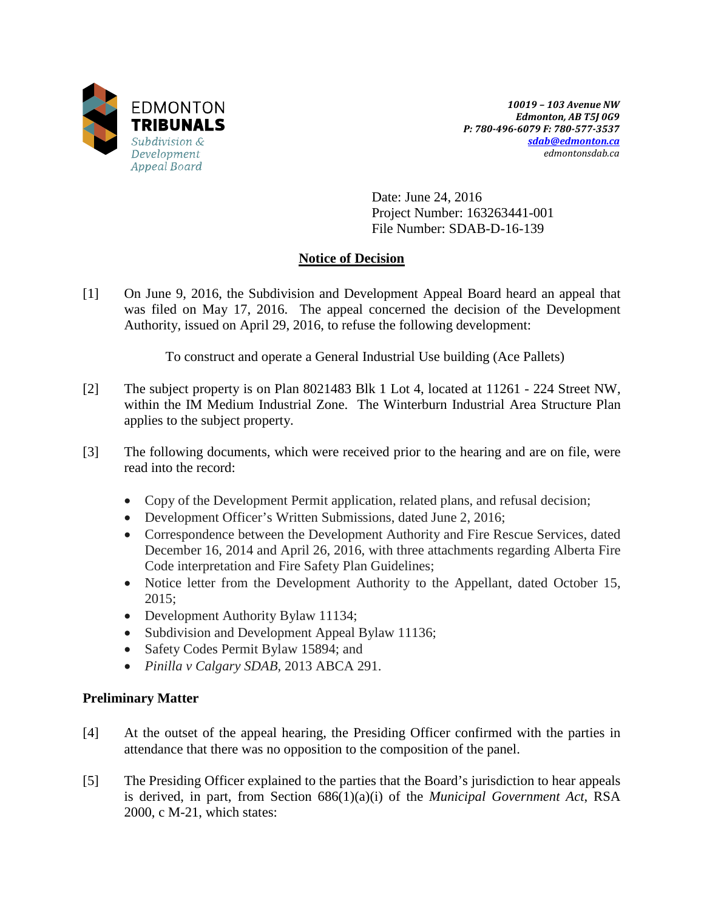

*10019 – 103 Avenue NW Edmonton, AB T5J 0G9 P: 780-496-6079 F: 780-577-3537 [sdab@edmonton.ca](mailto:sdab@edmonton.ca) edmontonsdab.ca*

Date: June 24, 2016 Project Number: 163263441-001 File Number: SDAB-D-16-139

# **Notice of Decision**

[1] On June 9, 2016, the Subdivision and Development Appeal Board heard an appeal that was filed on May 17, 2016. The appeal concerned the decision of the Development Authority, issued on April 29, 2016, to refuse the following development:

To construct and operate a General Industrial Use building (Ace Pallets)

- [2] The subject property is on Plan 8021483 Blk 1 Lot 4, located at 11261 224 Street NW, within the IM Medium Industrial Zone. The Winterburn Industrial Area Structure Plan applies to the subject property.
- [3] The following documents, which were received prior to the hearing and are on file, were read into the record:
	- Copy of the Development Permit application, related plans, and refusal decision;
	- Development Officer's Written Submissions, dated June 2, 2016;
	- Correspondence between the Development Authority and Fire Rescue Services, dated December 16, 2014 and April 26, 2016, with three attachments regarding Alberta Fire Code interpretation and Fire Safety Plan Guidelines;
	- Notice letter from the Development Authority to the Appellant, dated October 15, 2015;
	- Development Authority Bylaw 11134;
	- Subdivision and Development Appeal Bylaw 11136;
	- Safety Codes Permit Bylaw 15894; and
	- *Pinilla v Calgary SDAB,* 2013 ABCA 291.

# **Preliminary Matter**

- [4] At the outset of the appeal hearing, the Presiding Officer confirmed with the parties in attendance that there was no opposition to the composition of the panel.
- [5] The Presiding Officer explained to the parties that the Board's jurisdiction to hear appeals is derived, in part, from Section 686(1)(a)(i) of the *Municipal Government Act*, RSA 2000, c M-21, which states: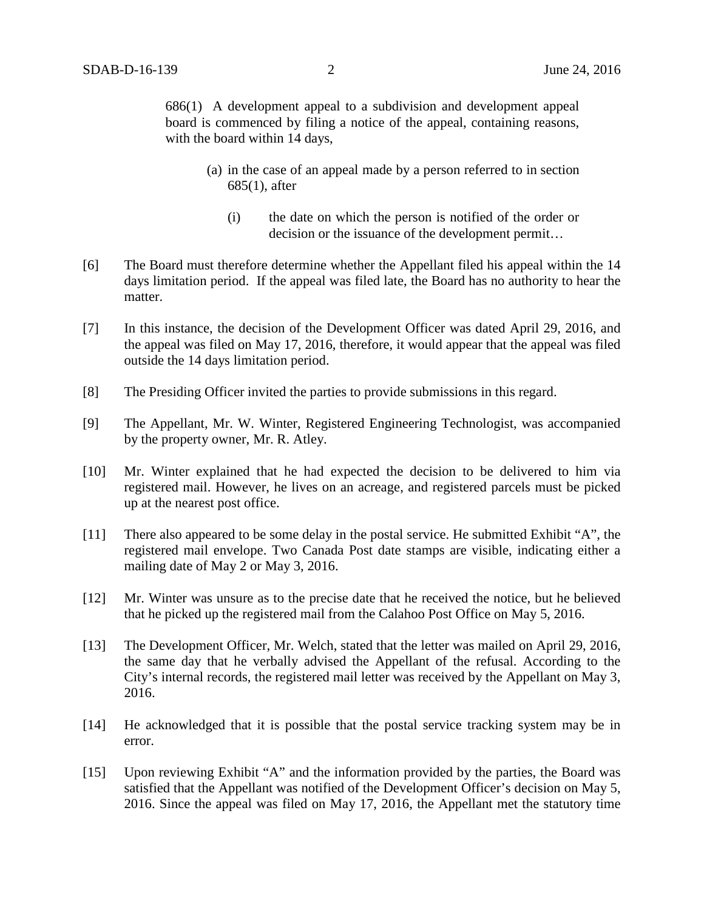686(1) A development appeal to a subdivision and development appeal board is commenced by filing a notice of the appeal, containing reasons, with the board within 14 days,

- (a) in the case of an appeal made by a person referred to in section 685(1), after
	- (i) the date on which the person is notified of the order or decision or the issuance of the development permit…
- [6] The Board must therefore determine whether the Appellant filed his appeal within the 14 days limitation period. If the appeal was filed late, the Board has no authority to hear the matter.
- [7] In this instance, the decision of the Development Officer was dated April 29, 2016, and the appeal was filed on May 17, 2016, therefore, it would appear that the appeal was filed outside the 14 days limitation period.
- [8] The Presiding Officer invited the parties to provide submissions in this regard.
- [9] The Appellant, Mr. W. Winter, Registered Engineering Technologist, was accompanied by the property owner, Mr. R. Atley.
- [10] Mr. Winter explained that he had expected the decision to be delivered to him via registered mail. However, he lives on an acreage, and registered parcels must be picked up at the nearest post office.
- [11] There also appeared to be some delay in the postal service. He submitted Exhibit "A", the registered mail envelope. Two Canada Post date stamps are visible, indicating either a mailing date of May 2 or May 3, 2016.
- [12] Mr. Winter was unsure as to the precise date that he received the notice, but he believed that he picked up the registered mail from the Calahoo Post Office on May 5, 2016.
- [13] The Development Officer, Mr. Welch, stated that the letter was mailed on April 29, 2016, the same day that he verbally advised the Appellant of the refusal. According to the City's internal records, the registered mail letter was received by the Appellant on May 3, 2016.
- [14] He acknowledged that it is possible that the postal service tracking system may be in error.
- [15] Upon reviewing Exhibit "A" and the information provided by the parties, the Board was satisfied that the Appellant was notified of the Development Officer's decision on May 5, 2016. Since the appeal was filed on May 17, 2016, the Appellant met the statutory time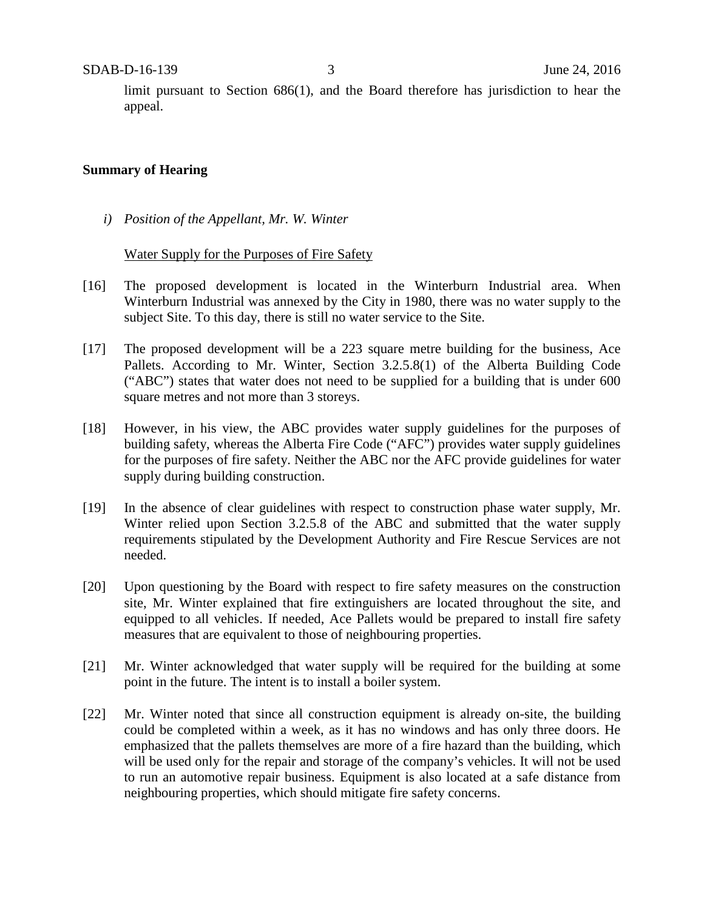limit pursuant to Section 686(1), and the Board therefore has jurisdiction to hear the appeal.

## **Summary of Hearing**

*i) Position of the Appellant, Mr. W. Winter*

#### Water Supply for the Purposes of Fire Safety

- [16] The proposed development is located in the Winterburn Industrial area. When Winterburn Industrial was annexed by the City in 1980, there was no water supply to the subject Site. To this day, there is still no water service to the Site.
- [17] The proposed development will be a 223 square metre building for the business, Ace Pallets. According to Mr. Winter, Section 3.2.5.8(1) of the Alberta Building Code ("ABC") states that water does not need to be supplied for a building that is under 600 square metres and not more than 3 storeys.
- [18] However, in his view, the ABC provides water supply guidelines for the purposes of building safety, whereas the Alberta Fire Code ("AFC") provides water supply guidelines for the purposes of fire safety. Neither the ABC nor the AFC provide guidelines for water supply during building construction.
- [19] In the absence of clear guidelines with respect to construction phase water supply, Mr. Winter relied upon Section 3.2.5.8 of the ABC and submitted that the water supply requirements stipulated by the Development Authority and Fire Rescue Services are not needed.
- [20] Upon questioning by the Board with respect to fire safety measures on the construction site, Mr. Winter explained that fire extinguishers are located throughout the site, and equipped to all vehicles. If needed, Ace Pallets would be prepared to install fire safety measures that are equivalent to those of neighbouring properties.
- [21] Mr. Winter acknowledged that water supply will be required for the building at some point in the future. The intent is to install a boiler system.
- [22] Mr. Winter noted that since all construction equipment is already on-site, the building could be completed within a week, as it has no windows and has only three doors. He emphasized that the pallets themselves are more of a fire hazard than the building, which will be used only for the repair and storage of the company's vehicles. It will not be used to run an automotive repair business. Equipment is also located at a safe distance from neighbouring properties, which should mitigate fire safety concerns.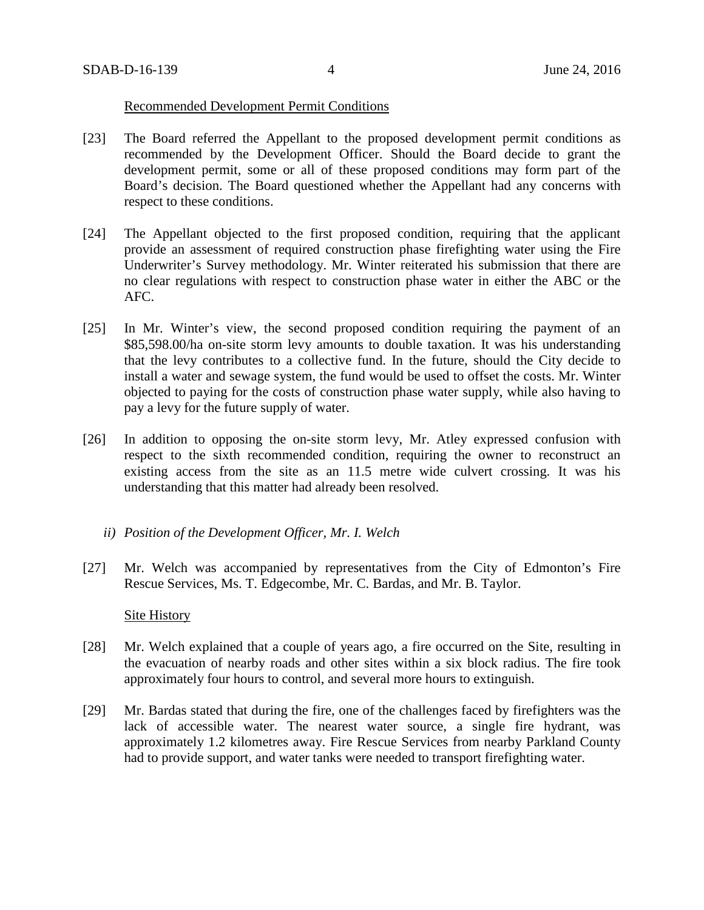# Recommended Development Permit Conditions

- [23] The Board referred the Appellant to the proposed development permit conditions as recommended by the Development Officer. Should the Board decide to grant the development permit, some or all of these proposed conditions may form part of the Board's decision. The Board questioned whether the Appellant had any concerns with respect to these conditions.
- [24] The Appellant objected to the first proposed condition, requiring that the applicant provide an assessment of required construction phase firefighting water using the Fire Underwriter's Survey methodology. Mr. Winter reiterated his submission that there are no clear regulations with respect to construction phase water in either the ABC or the AFC.
- [25] In Mr. Winter's view, the second proposed condition requiring the payment of an \$85,598.00/ha on-site storm levy amounts to double taxation. It was his understanding that the levy contributes to a collective fund. In the future, should the City decide to install a water and sewage system, the fund would be used to offset the costs. Mr. Winter objected to paying for the costs of construction phase water supply, while also having to pay a levy for the future supply of water.
- [26] In addition to opposing the on-site storm levy, Mr. Atley expressed confusion with respect to the sixth recommended condition, requiring the owner to reconstruct an existing access from the site as an 11.5 metre wide culvert crossing. It was his understanding that this matter had already been resolved.
	- *ii) Position of the Development Officer, Mr. I. Welch*
- [27] Mr. Welch was accompanied by representatives from the City of Edmonton's Fire Rescue Services, Ms. T. Edgecombe, Mr. C. Bardas, and Mr. B. Taylor.

## Site History

- [28] Mr. Welch explained that a couple of years ago, a fire occurred on the Site, resulting in the evacuation of nearby roads and other sites within a six block radius. The fire took approximately four hours to control, and several more hours to extinguish.
- [29] Mr. Bardas stated that during the fire, one of the challenges faced by firefighters was the lack of accessible water. The nearest water source, a single fire hydrant, was approximately 1.2 kilometres away. Fire Rescue Services from nearby Parkland County had to provide support, and water tanks were needed to transport firefighting water.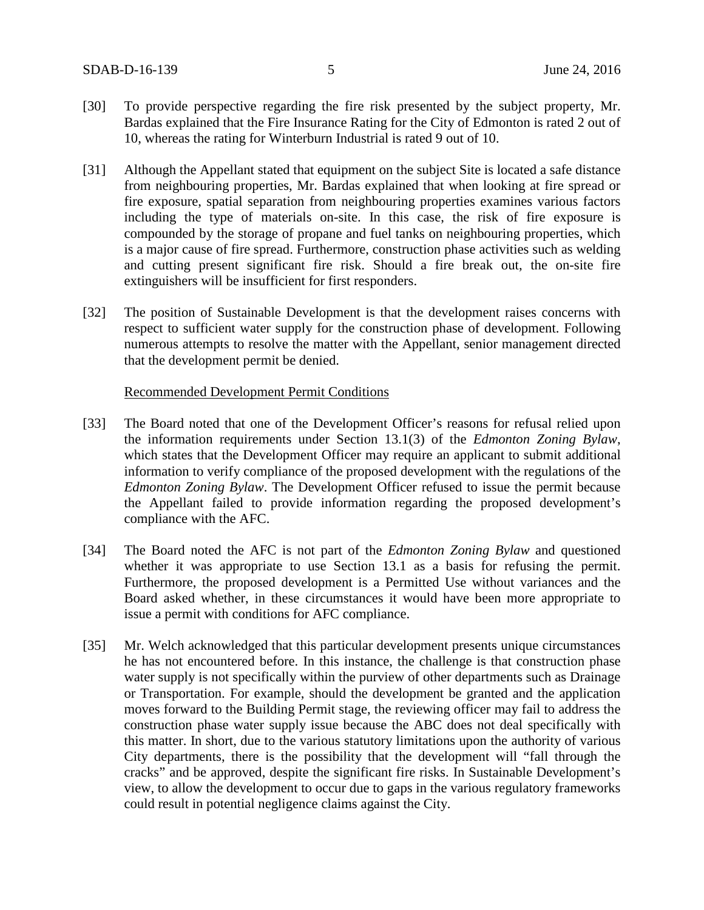- [30] To provide perspective regarding the fire risk presented by the subject property, Mr. Bardas explained that the Fire Insurance Rating for the City of Edmonton is rated 2 out of 10, whereas the rating for Winterburn Industrial is rated 9 out of 10.
- [31] Although the Appellant stated that equipment on the subject Site is located a safe distance from neighbouring properties, Mr. Bardas explained that when looking at fire spread or fire exposure, spatial separation from neighbouring properties examines various factors including the type of materials on-site. In this case, the risk of fire exposure is compounded by the storage of propane and fuel tanks on neighbouring properties, which is a major cause of fire spread. Furthermore, construction phase activities such as welding and cutting present significant fire risk. Should a fire break out, the on-site fire extinguishers will be insufficient for first responders.
- [32] The position of Sustainable Development is that the development raises concerns with respect to sufficient water supply for the construction phase of development. Following numerous attempts to resolve the matter with the Appellant, senior management directed that the development permit be denied.

## Recommended Development Permit Conditions

- [33] The Board noted that one of the Development Officer's reasons for refusal relied upon the information requirements under Section 13.1(3) of the *Edmonton Zoning Bylaw*, which states that the Development Officer may require an applicant to submit additional information to verify compliance of the proposed development with the regulations of the *Edmonton Zoning Bylaw*. The Development Officer refused to issue the permit because the Appellant failed to provide information regarding the proposed development's compliance with the AFC.
- [34] The Board noted the AFC is not part of the *Edmonton Zoning Bylaw* and questioned whether it was appropriate to use Section 13.1 as a basis for refusing the permit. Furthermore, the proposed development is a Permitted Use without variances and the Board asked whether, in these circumstances it would have been more appropriate to issue a permit with conditions for AFC compliance.
- [35] Mr. Welch acknowledged that this particular development presents unique circumstances he has not encountered before. In this instance, the challenge is that construction phase water supply is not specifically within the purview of other departments such as Drainage or Transportation. For example, should the development be granted and the application moves forward to the Building Permit stage, the reviewing officer may fail to address the construction phase water supply issue because the ABC does not deal specifically with this matter. In short, due to the various statutory limitations upon the authority of various City departments, there is the possibility that the development will "fall through the cracks" and be approved, despite the significant fire risks. In Sustainable Development's view, to allow the development to occur due to gaps in the various regulatory frameworks could result in potential negligence claims against the City.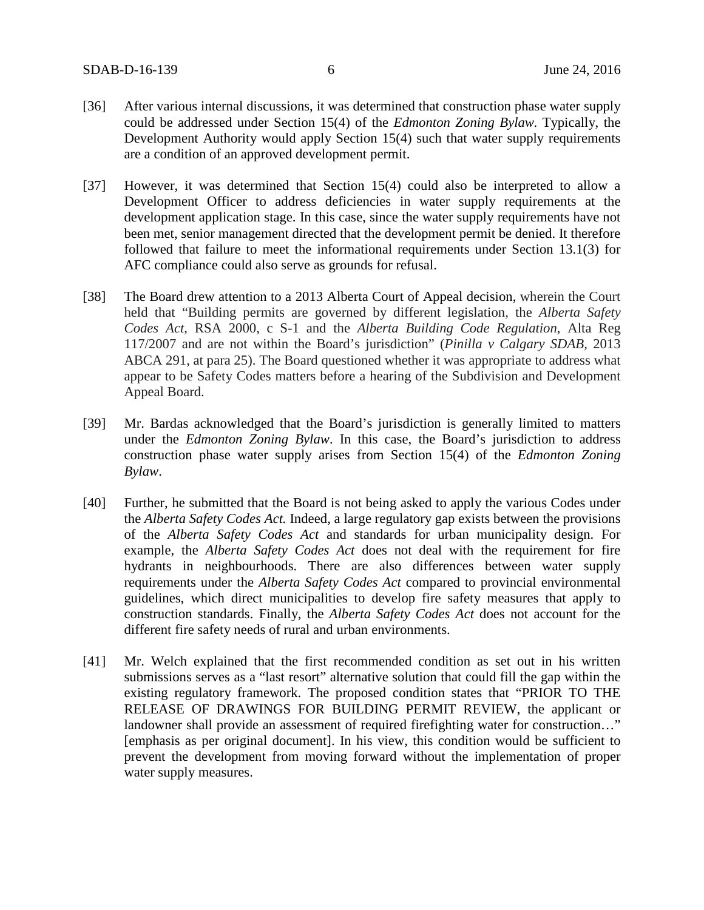- [36] After various internal discussions, it was determined that construction phase water supply could be addressed under Section 15(4) of the *Edmonton Zoning Bylaw.* Typically, the Development Authority would apply Section 15(4) such that water supply requirements are a condition of an approved development permit.
- [37] However, it was determined that Section 15(4) could also be interpreted to allow a Development Officer to address deficiencies in water supply requirements at the development application stage. In this case, since the water supply requirements have not been met, senior management directed that the development permit be denied. It therefore followed that failure to meet the informational requirements under Section 13.1(3) for AFC compliance could also serve as grounds for refusal.
- [38] The Board drew attention to a 2013 Alberta Court of Appeal decision, wherein the Court held that "Building permits are governed by different legislation, the *Alberta Safety Codes Act*, RSA 2000, c S-1 and the *Alberta Building Code Regulation*, Alta Reg 117/2007 and are not within the Board's jurisdiction" (*Pinilla v Calgary SDAB,* 2013 ABCA 291, at para 25). The Board questioned whether it was appropriate to address what appear to be Safety Codes matters before a hearing of the Subdivision and Development Appeal Board.
- [39] Mr. Bardas acknowledged that the Board's jurisdiction is generally limited to matters under the *Edmonton Zoning Bylaw*. In this case, the Board's jurisdiction to address construction phase water supply arises from Section 15(4) of the *Edmonton Zoning Bylaw*.
- [40] Further, he submitted that the Board is not being asked to apply the various Codes under the *Alberta Safety Codes Act.* Indeed, a large regulatory gap exists between the provisions of the *Alberta Safety Codes Act* and standards for urban municipality design. For example, the *Alberta Safety Codes Act* does not deal with the requirement for fire hydrants in neighbourhoods. There are also differences between water supply requirements under the *Alberta Safety Codes Act* compared to provincial environmental guidelines, which direct municipalities to develop fire safety measures that apply to construction standards. Finally, the *Alberta Safety Codes Act* does not account for the different fire safety needs of rural and urban environments.
- [41] Mr. Welch explained that the first recommended condition as set out in his written submissions serves as a "last resort" alternative solution that could fill the gap within the existing regulatory framework. The proposed condition states that "PRIOR TO THE RELEASE OF DRAWINGS FOR BUILDING PERMIT REVIEW, the applicant or landowner shall provide an assessment of required firefighting water for construction…" [emphasis as per original document]. In his view, this condition would be sufficient to prevent the development from moving forward without the implementation of proper water supply measures.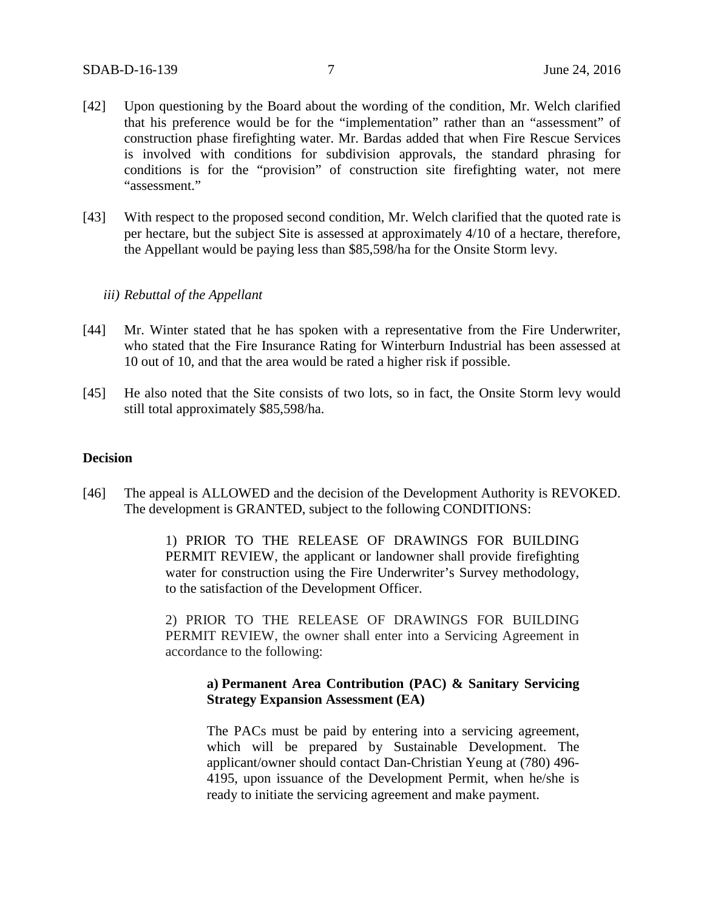- [42] Upon questioning by the Board about the wording of the condition, Mr. Welch clarified that his preference would be for the "implementation" rather than an "assessment" of construction phase firefighting water. Mr. Bardas added that when Fire Rescue Services is involved with conditions for subdivision approvals, the standard phrasing for conditions is for the "provision" of construction site firefighting water, not mere "assessment."
- [43] With respect to the proposed second condition, Mr. Welch clarified that the quoted rate is per hectare, but the subject Site is assessed at approximately 4/10 of a hectare, therefore, the Appellant would be paying less than \$85,598/ha for the Onsite Storm levy.

### *iii) Rebuttal of the Appellant*

- [44] Mr. Winter stated that he has spoken with a representative from the Fire Underwriter, who stated that the Fire Insurance Rating for Winterburn Industrial has been assessed at 10 out of 10, and that the area would be rated a higher risk if possible.
- [45] He also noted that the Site consists of two lots, so in fact, the Onsite Storm levy would still total approximately \$85,598/ha.

### **Decision**

[46] The appeal is ALLOWED and the decision of the Development Authority is REVOKED. The development is GRANTED, subject to the following CONDITIONS:

> 1) PRIOR TO THE RELEASE OF DRAWINGS FOR BUILDING PERMIT REVIEW, the applicant or landowner shall provide firefighting water for construction using the Fire Underwriter's Survey methodology, to the satisfaction of the Development Officer.

> 2) PRIOR TO THE RELEASE OF DRAWINGS FOR BUILDING PERMIT REVIEW, the owner shall enter into a Servicing Agreement in accordance to the following:

# **a) Permanent Area Contribution (PAC) & Sanitary Servicing Strategy Expansion Assessment (EA)**

The PACs must be paid by entering into a servicing agreement, which will be prepared by Sustainable Development. The applicant/owner should contact Dan-Christian Yeung at [\(780\) 496-](tel:%28780%29%20496-4195) [4195,](tel:%28780%29%20496-4195) upon issuance of the Development Permit, when he/she is ready to initiate the servicing agreement and make payment.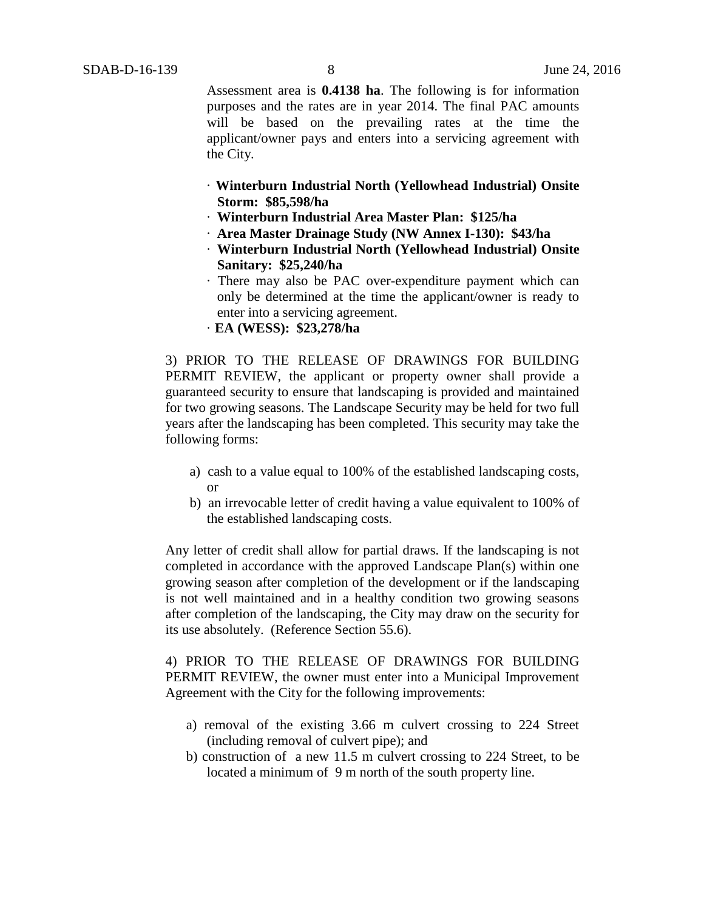Assessment area is **0.4138 ha**. The following is for information purposes and the rates are in year 2014. The final PAC amounts will be based on the prevailing rates at the time the applicant/owner pays and enters into a servicing agreement with the City.

- · **Winterburn Industrial North (Yellowhead Industrial) Onsite Storm: \$85,598/ha**
- · **Winterburn Industrial Area Master Plan: \$125/ha**
- · **Area Master Drainage Study (NW Annex I-130): \$43/ha**
- · **Winterburn Industrial North (Yellowhead Industrial) Onsite Sanitary: \$25,240/ha**
- · There may also be PAC over-expenditure payment which can only be determined at the time the applicant/owner is ready to enter into a servicing agreement.
- · **EA (WESS): \$23,278/ha**

3) PRIOR TO THE RELEASE OF DRAWINGS FOR BUILDING PERMIT REVIEW, the applicant or property owner shall provide a guaranteed security to ensure that landscaping is provided and maintained for two growing seasons. The Landscape Security may be held for two full years after the landscaping has been completed. This security may take the following forms:

- a) cash to a value equal to 100% of the established landscaping costs, or
- b) an irrevocable letter of credit having a value equivalent to 100% of the established landscaping costs.

Any letter of credit shall allow for partial draws. If the landscaping is not completed in accordance with the approved Landscape Plan(s) within one growing season after completion of the development or if the landscaping is not well maintained and in a healthy condition two growing seasons after completion of the landscaping, the City may draw on the security for its use absolutely. (Reference Section 55.6).

4) PRIOR TO THE RELEASE OF DRAWINGS FOR BUILDING PERMIT REVIEW, the owner must enter into a Municipal Improvement Agreement with the City for the following improvements:

- a) removal of the existing 3.66 m culvert crossing to 224 Street (including removal of culvert pipe); and
- b) construction of a new 11.5 m culvert crossing to 224 Street, to be located a minimum of 9 m north of the south property line.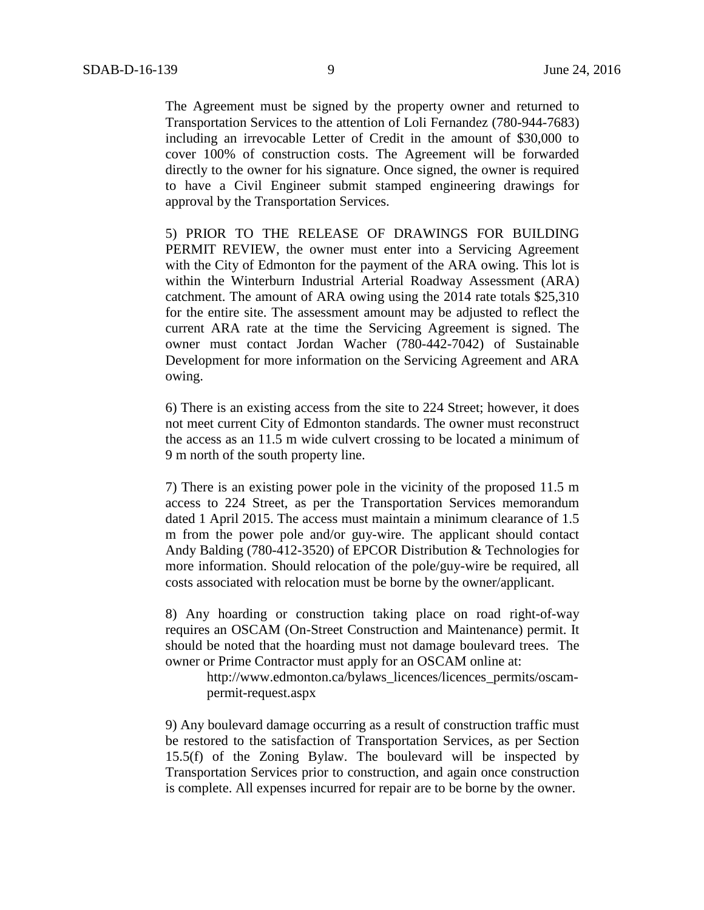The Agreement must be signed by the property owner and returned to Transportation Services to the attention of Loli Fernandez (780-944-7683) including an irrevocable Letter of Credit in the amount of \$30,000 to cover 100% of construction costs. The Agreement will be forwarded directly to the owner for his signature. Once signed, the owner is required to have a Civil Engineer submit stamped engineering drawings for approval by the Transportation Services.

5) PRIOR TO THE RELEASE OF DRAWINGS FOR BUILDING PERMIT REVIEW, the owner must enter into a Servicing Agreement with the City of Edmonton for the payment of the ARA owing. This lot is within the Winterburn Industrial Arterial Roadway Assessment (ARA) catchment. The amount of ARA owing using the 2014 rate totals \$25,310 for the entire site. The assessment amount may be adjusted to reflect the current ARA rate at the time the Servicing Agreement is signed. The owner must contact Jordan Wacher (780-442-7042) of Sustainable Development for more information on the Servicing Agreement and ARA owing.

6) There is an existing access from the site to 224 Street; however, it does not meet current City of Edmonton standards. The owner must reconstruct the access as an 11.5 m wide culvert crossing to be located a minimum of 9 m north of the south property line.

7) There is an existing power pole in the vicinity of the proposed 11.5 m access to 224 Street, as per the Transportation Services memorandum dated 1 April 2015. The access must maintain a minimum clearance of 1.5 m from the power pole and/or guy-wire. The applicant should contact Andy Balding (780-412-3520) of EPCOR Distribution & Technologies for more information. Should relocation of the pole/guy-wire be required, all costs associated with relocation must be borne by the owner/applicant.

8) Any hoarding or construction taking place on road right-of-way requires an OSCAM (On-Street Construction and Maintenance) permit. It should be noted that the hoarding must not damage boulevard trees. The owner or Prime Contractor must apply for an OSCAM online at:

http://www.edmonton.ca/bylaws\_licences/licences\_permits/oscampermit-request.aspx

9) Any boulevard damage occurring as a result of construction traffic must be restored to the satisfaction of Transportation Services, as per Section 15.5(f) of the Zoning Bylaw. The boulevard will be inspected by Transportation Services prior to construction, and again once construction is complete. All expenses incurred for repair are to be borne by the owner.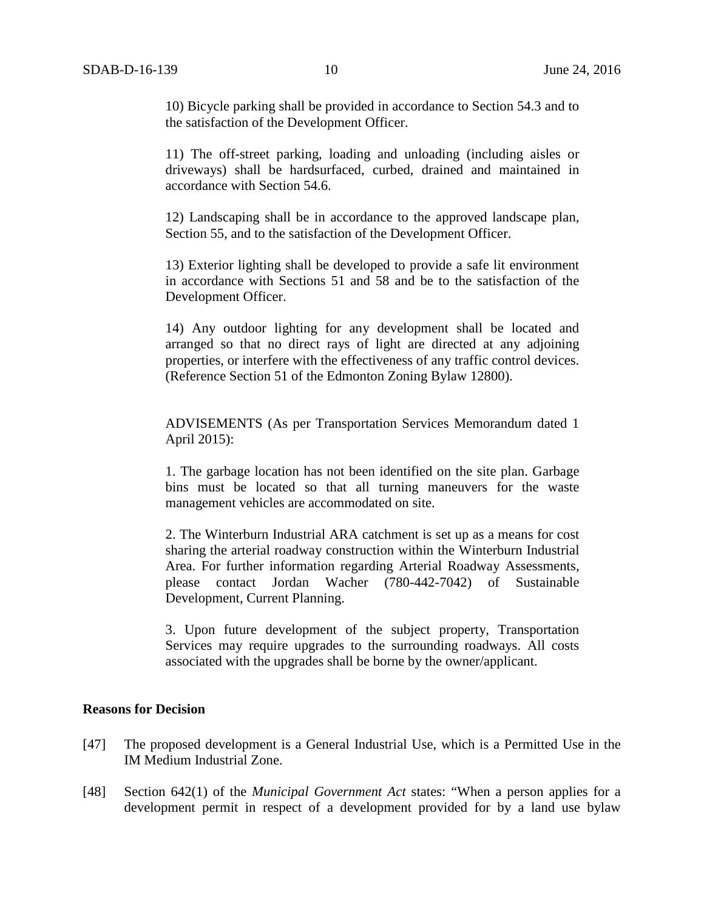10) Bicycle parking shall be provided in accordance to Section 54.3 and to the satisfaction of the Development Officer.

11) The off-street parking, loading and unloading (including aisles or driveways) shall be hardsurfaced, curbed, drained and maintained in accordance with Section 54.6.

12) Landscaping shall be in accordance to the approved landscape plan, Section 55, and to the satisfaction of the Development Officer.

13) Exterior lighting shall be developed to provide a safe lit environment in accordance with Sections 51 and 58 and be to the satisfaction of the Development Officer.

14) Any outdoor lighting for any development shall be located and arranged so that no direct rays of light are directed at any adjoining properties, or interfere with the effectiveness of any traffic control devices. (Reference Section 51 of the Edmonton Zoning Bylaw 12800).

ADVISEMENTS (As per Transportation Services Memorandum dated 1 April 2015):

1. The garbage location has not been identified on the site plan. Garbage bins must be located so that all turning maneuvers for the waste management vehicles are accommodated on site.

2. The Winterburn Industrial ARA catchment is set up as a means for cost sharing the arterial roadway construction within the Winterburn Industrial Area. For further information regarding Arterial Roadway Assessments, please contact Jordan Wacher (780-442-7042) of Sustainable Development, Current Planning.

3. Upon future development of the subject property, Transportation Services may require upgrades to the surrounding roadways. All costs associated with the upgrades shall be borne by the owner/applicant.

# **Reasons for Decision**

- [47] The proposed development is a General Industrial Use, which is a Permitted Use in the IM Medium Industrial Zone.
- [48] Section 642(1) of the *Municipal Government Act* states: "When a person applies for a development permit in respect of a development provided for by a land use bylaw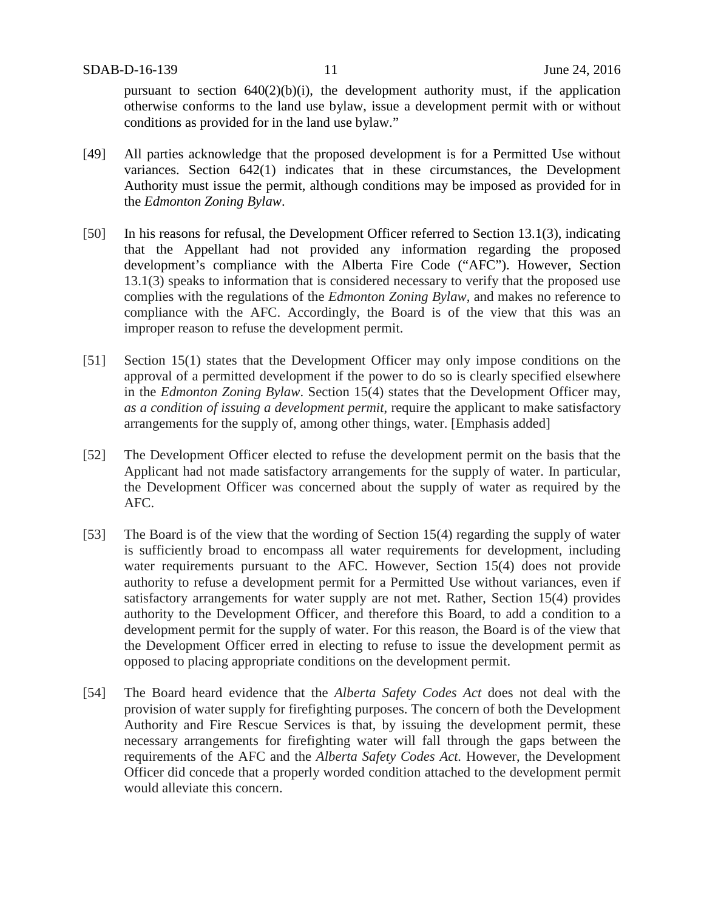pursuant to section  $640(2)(b)(i)$ , the development authority must, if the application otherwise conforms to the land use bylaw, issue a development permit with or without conditions as provided for in the land use bylaw."

- [49] All parties acknowledge that the proposed development is for a Permitted Use without variances. Section 642(1) indicates that in these circumstances, the Development Authority must issue the permit, although conditions may be imposed as provided for in the *Edmonton Zoning Bylaw*.
- [50] In his reasons for refusal, the Development Officer referred to Section 13.1(3), indicating that the Appellant had not provided any information regarding the proposed development's compliance with the Alberta Fire Code ("AFC"). However, Section 13.1(3) speaks to information that is considered necessary to verify that the proposed use complies with the regulations of the *Edmonton Zoning Bylaw*, and makes no reference to compliance with the AFC. Accordingly, the Board is of the view that this was an improper reason to refuse the development permit.
- [51] Section 15(1) states that the Development Officer may only impose conditions on the approval of a permitted development if the power to do so is clearly specified elsewhere in the *Edmonton Zoning Bylaw*. Section 15(4) states that the Development Officer may, *as a condition of issuing a development permit*, require the applicant to make satisfactory arrangements for the supply of, among other things, water. [Emphasis added]
- [52] The Development Officer elected to refuse the development permit on the basis that the Applicant had not made satisfactory arrangements for the supply of water. In particular, the Development Officer was concerned about the supply of water as required by the AFC.
- [53] The Board is of the view that the wording of Section 15(4) regarding the supply of water is sufficiently broad to encompass all water requirements for development, including water requirements pursuant to the AFC. However, Section 15(4) does not provide authority to refuse a development permit for a Permitted Use without variances, even if satisfactory arrangements for water supply are not met. Rather, Section 15(4) provides authority to the Development Officer, and therefore this Board, to add a condition to a development permit for the supply of water. For this reason, the Board is of the view that the Development Officer erred in electing to refuse to issue the development permit as opposed to placing appropriate conditions on the development permit.
- [54] The Board heard evidence that the *Alberta Safety Codes Act* does not deal with the provision of water supply for firefighting purposes. The concern of both the Development Authority and Fire Rescue Services is that, by issuing the development permit, these necessary arrangements for firefighting water will fall through the gaps between the requirements of the AFC and the *Alberta Safety Codes Act.* However, the Development Officer did concede that a properly worded condition attached to the development permit would alleviate this concern.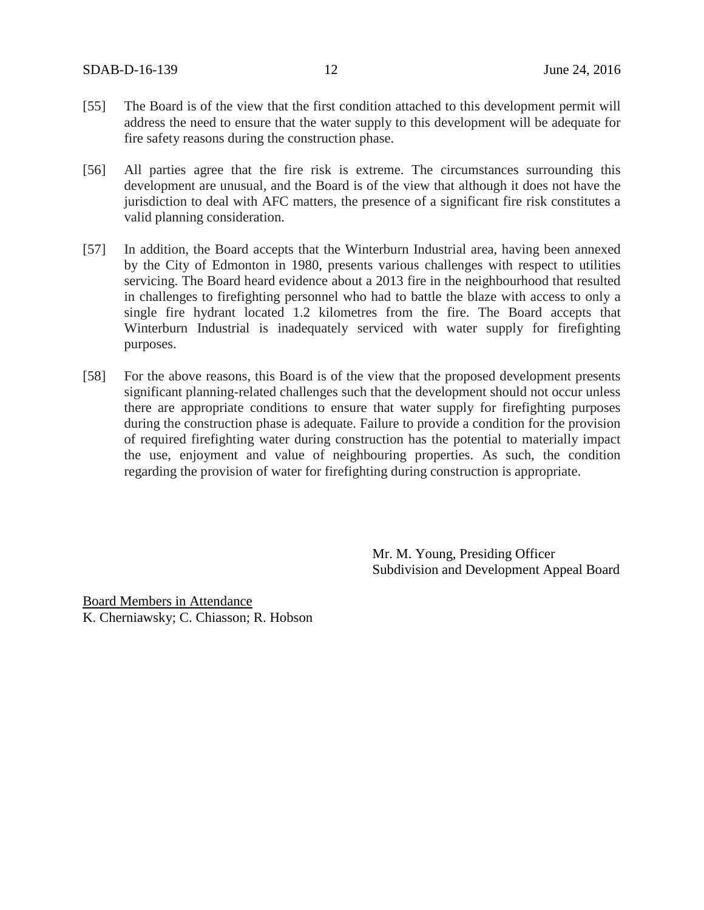SDAB-D-16-139 12 June 24, 2016

- [55] The Board is of the view that the first condition attached to this development permit will address the need to ensure that the water supply to this development will be adequate for fire safety reasons during the construction phase.
- [56] All parties agree that the fire risk is extreme. The circumstances surrounding this development are unusual, and the Board is of the view that although it does not have the jurisdiction to deal with AFC matters, the presence of a significant fire risk constitutes a valid planning consideration.
- [57] In addition, the Board accepts that the Winterburn Industrial area, having been annexed by the City of Edmonton in 1980, presents various challenges with respect to utilities servicing. The Board heard evidence about a 2013 fire in the neighbourhood that resulted in challenges to firefighting personnel who had to battle the blaze with access to only a single fire hydrant located 1.2 kilometres from the fire. The Board accepts that Winterburn Industrial is inadequately serviced with water supply for firefighting purposes.
- [58] For the above reasons, this Board is of the view that the proposed development presents significant planning-related challenges such that the development should not occur unless there are appropriate conditions to ensure that water supply for firefighting purposes during the construction phase is adequate. Failure to provide a condition for the provision of required firefighting water during construction has the potential to materially impact the use, enjoyment and value of neighbouring properties. As such, the condition regarding the provision of water for firefighting during construction is appropriate.

Mr. M. Young, Presiding Officer Subdivision and Development Appeal Board

Board Members in Attendance K. Cherniawsky; C. Chiasson; R. Hobson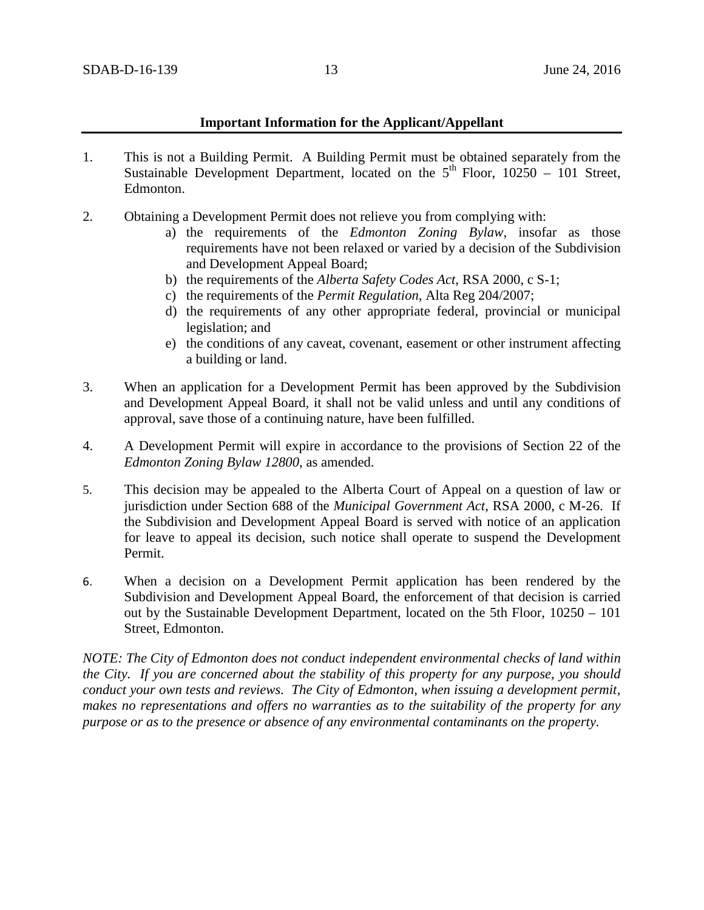# **Important Information for the Applicant/Appellant**

- 1. This is not a Building Permit. A Building Permit must be obtained separately from the Sustainable Development Department, located on the  $5<sup>th</sup>$  Floor, 10250 – 101 Street, Edmonton.
- 2. Obtaining a Development Permit does not relieve you from complying with:
	- a) the requirements of the *Edmonton Zoning Bylaw*, insofar as those requirements have not been relaxed or varied by a decision of the Subdivision and Development Appeal Board;
	- b) the requirements of the *Alberta Safety Codes Act*, RSA 2000, c S-1;
	- c) the requirements of the *Permit Regulation*, Alta Reg 204/2007;
	- d) the requirements of any other appropriate federal, provincial or municipal legislation; and
	- e) the conditions of any caveat, covenant, easement or other instrument affecting a building or land.
- 3. When an application for a Development Permit has been approved by the Subdivision and Development Appeal Board, it shall not be valid unless and until any conditions of approval, save those of a continuing nature, have been fulfilled.
- 4. A Development Permit will expire in accordance to the provisions of Section 22 of the *Edmonton Zoning Bylaw 12800*, as amended.
- 5. This decision may be appealed to the Alberta Court of Appeal on a question of law or jurisdiction under Section 688 of the *Municipal Government Act*, RSA 2000, c M-26. If the Subdivision and Development Appeal Board is served with notice of an application for leave to appeal its decision, such notice shall operate to suspend the Development Permit.
- 6. When a decision on a Development Permit application has been rendered by the Subdivision and Development Appeal Board, the enforcement of that decision is carried out by the Sustainable Development Department, located on the 5th Floor, 10250 – 101 Street, Edmonton.

*NOTE: The City of Edmonton does not conduct independent environmental checks of land within the City. If you are concerned about the stability of this property for any purpose, you should conduct your own tests and reviews. The City of Edmonton, when issuing a development permit, makes no representations and offers no warranties as to the suitability of the property for any purpose or as to the presence or absence of any environmental contaminants on the property.*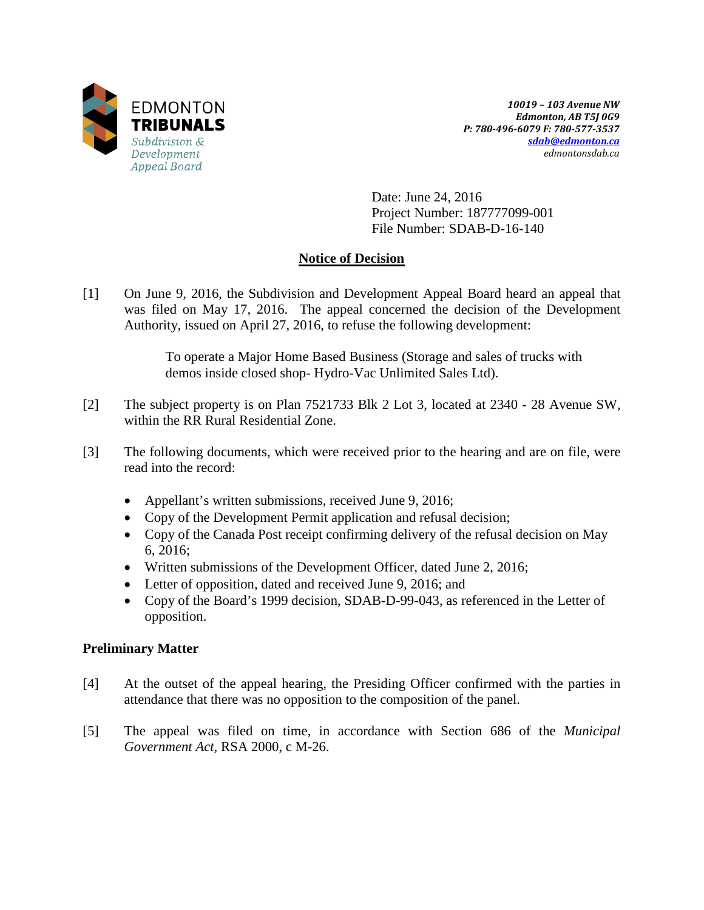

*10019 – 103 Avenue NW Edmonton, AB T5J 0G9 P: 780-496-6079 F: 780-577-3537 [sdab@edmonton.ca](mailto:sdab@edmonton.ca) edmontonsdab.ca*

Date: June 24, 2016 Project Number: 187777099-001 File Number: SDAB-D-16-140

# **Notice of Decision**

[1] On June 9, 2016, the Subdivision and Development Appeal Board heard an appeal that was filed on May 17, 2016. The appeal concerned the decision of the Development Authority, issued on April 27, 2016, to refuse the following development:

> To operate a Major Home Based Business (Storage and sales of trucks with demos inside closed shop- Hydro-Vac Unlimited Sales Ltd).

- [2] The subject property is on Plan 7521733 Blk 2 Lot 3, located at 2340 28 Avenue SW, within the RR Rural Residential Zone.
- [3] The following documents, which were received prior to the hearing and are on file, were read into the record:
	- Appellant's written submissions, received June 9, 2016;
	- Copy of the Development Permit application and refusal decision;
	- Copy of the Canada Post receipt confirming delivery of the refusal decision on May 6, 2016;
	- Written submissions of the Development Officer, dated June 2, 2016;
	- Letter of opposition, dated and received June 9, 2016; and
	- Copy of the Board's 1999 decision, SDAB-D-99-043, as referenced in the Letter of opposition.

# **Preliminary Matter**

- [4] At the outset of the appeal hearing, the Presiding Officer confirmed with the parties in attendance that there was no opposition to the composition of the panel.
- [5] The appeal was filed on time, in accordance with Section 686 of the *Municipal Government Act,* RSA 2000, c M-26.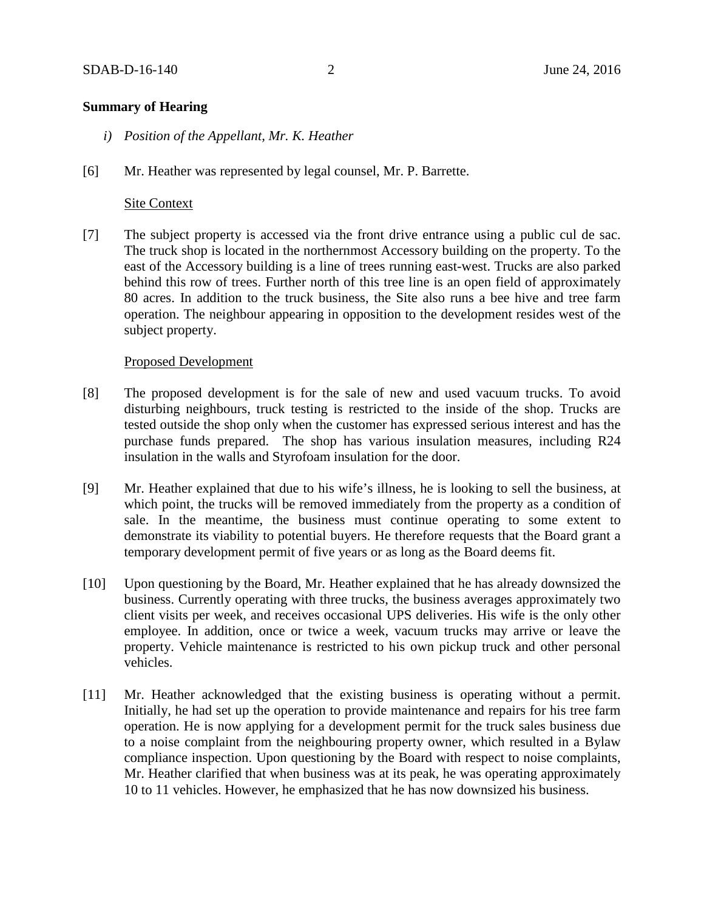# **Summary of Hearing**

- *i) Position of the Appellant, Mr. K. Heather*
- [6] Mr. Heather was represented by legal counsel, Mr. P. Barrette.

# Site Context

[7] The subject property is accessed via the front drive entrance using a public cul de sac. The truck shop is located in the northernmost Accessory building on the property. To the east of the Accessory building is a line of trees running east-west. Trucks are also parked behind this row of trees. Further north of this tree line is an open field of approximately 80 acres. In addition to the truck business, the Site also runs a bee hive and tree farm operation. The neighbour appearing in opposition to the development resides west of the subject property.

## Proposed Development

- [8] The proposed development is for the sale of new and used vacuum trucks. To avoid disturbing neighbours, truck testing is restricted to the inside of the shop. Trucks are tested outside the shop only when the customer has expressed serious interest and has the purchase funds prepared. The shop has various insulation measures, including R24 insulation in the walls and Styrofoam insulation for the door.
- [9] Mr. Heather explained that due to his wife's illness, he is looking to sell the business, at which point, the trucks will be removed immediately from the property as a condition of sale. In the meantime, the business must continue operating to some extent to demonstrate its viability to potential buyers. He therefore requests that the Board grant a temporary development permit of five years or as long as the Board deems fit.
- [10] Upon questioning by the Board, Mr. Heather explained that he has already downsized the business. Currently operating with three trucks, the business averages approximately two client visits per week, and receives occasional UPS deliveries. His wife is the only other employee. In addition, once or twice a week, vacuum trucks may arrive or leave the property. Vehicle maintenance is restricted to his own pickup truck and other personal vehicles.
- [11] Mr. Heather acknowledged that the existing business is operating without a permit. Initially, he had set up the operation to provide maintenance and repairs for his tree farm operation. He is now applying for a development permit for the truck sales business due to a noise complaint from the neighbouring property owner, which resulted in a Bylaw compliance inspection. Upon questioning by the Board with respect to noise complaints, Mr. Heather clarified that when business was at its peak, he was operating approximately 10 to 11 vehicles. However, he emphasized that he has now downsized his business.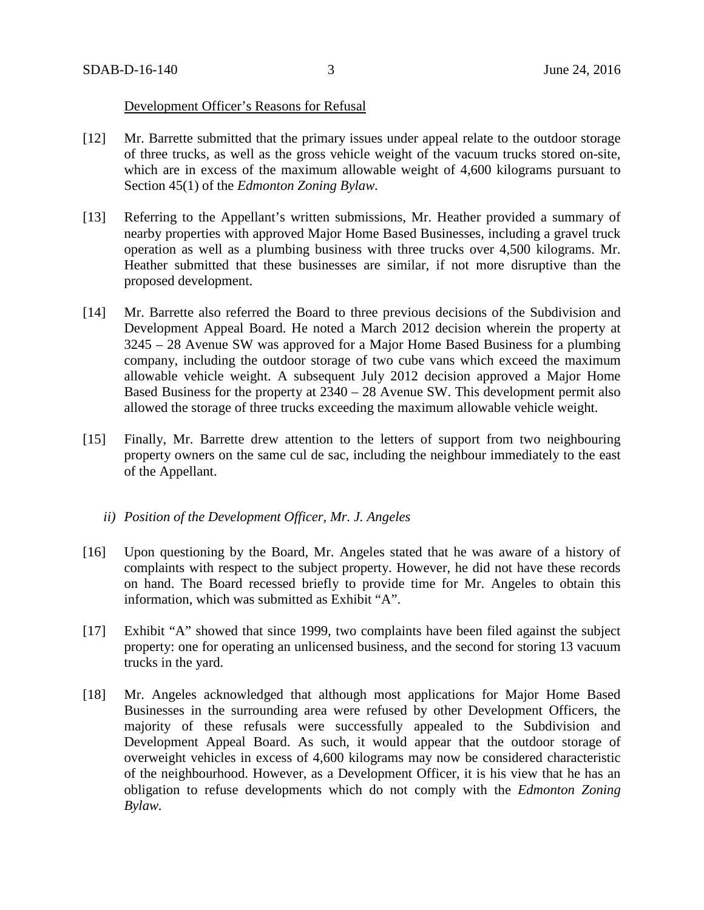### Development Officer's Reasons for Refusal

- [12] Mr. Barrette submitted that the primary issues under appeal relate to the outdoor storage of three trucks, as well as the gross vehicle weight of the vacuum trucks stored on-site, which are in excess of the maximum allowable weight of 4,600 kilograms pursuant to Section 45(1) of the *Edmonton Zoning Bylaw.*
- [13] Referring to the Appellant's written submissions, Mr. Heather provided a summary of nearby properties with approved Major Home Based Businesses, including a gravel truck operation as well as a plumbing business with three trucks over 4,500 kilograms. Mr. Heather submitted that these businesses are similar, if not more disruptive than the proposed development.
- [14] Mr. Barrette also referred the Board to three previous decisions of the Subdivision and Development Appeal Board. He noted a March 2012 decision wherein the property at 3245 – 28 Avenue SW was approved for a Major Home Based Business for a plumbing company, including the outdoor storage of two cube vans which exceed the maximum allowable vehicle weight. A subsequent July 2012 decision approved a Major Home Based Business for the property at 2340 – 28 Avenue SW. This development permit also allowed the storage of three trucks exceeding the maximum allowable vehicle weight.
- [15] Finally, Mr. Barrette drew attention to the letters of support from two neighbouring property owners on the same cul de sac, including the neighbour immediately to the east of the Appellant.
	- *ii) Position of the Development Officer, Mr. J. Angeles*
- [16] Upon questioning by the Board, Mr. Angeles stated that he was aware of a history of complaints with respect to the subject property. However, he did not have these records on hand. The Board recessed briefly to provide time for Mr. Angeles to obtain this information, which was submitted as Exhibit "A".
- [17] Exhibit "A" showed that since 1999, two complaints have been filed against the subject property: one for operating an unlicensed business, and the second for storing 13 vacuum trucks in the yard.
- [18] Mr. Angeles acknowledged that although most applications for Major Home Based Businesses in the surrounding area were refused by other Development Officers, the majority of these refusals were successfully appealed to the Subdivision and Development Appeal Board. As such, it would appear that the outdoor storage of overweight vehicles in excess of 4,600 kilograms may now be considered characteristic of the neighbourhood. However, as a Development Officer, it is his view that he has an obligation to refuse developments which do not comply with the *Edmonton Zoning Bylaw.*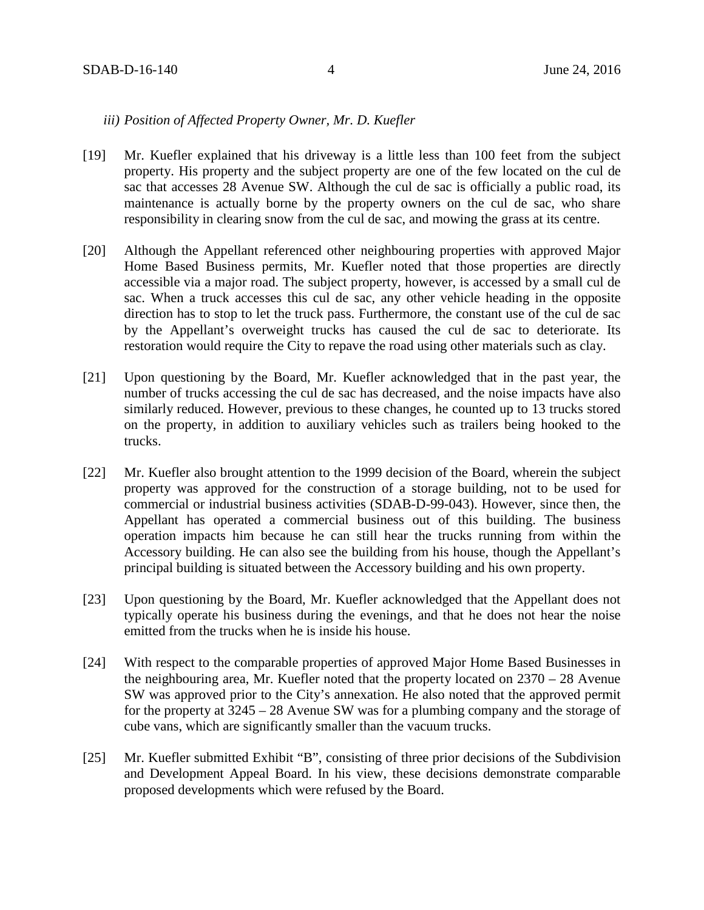## *iii) Position of Affected Property Owner, Mr. D. Kuefler*

- [19] Mr. Kuefler explained that his driveway is a little less than 100 feet from the subject property. His property and the subject property are one of the few located on the cul de sac that accesses 28 Avenue SW. Although the cul de sac is officially a public road, its maintenance is actually borne by the property owners on the cul de sac, who share responsibility in clearing snow from the cul de sac, and mowing the grass at its centre.
- [20] Although the Appellant referenced other neighbouring properties with approved Major Home Based Business permits, Mr. Kuefler noted that those properties are directly accessible via a major road. The subject property, however, is accessed by a small cul de sac. When a truck accesses this cul de sac, any other vehicle heading in the opposite direction has to stop to let the truck pass. Furthermore, the constant use of the cul de sac by the Appellant's overweight trucks has caused the cul de sac to deteriorate. Its restoration would require the City to repave the road using other materials such as clay.
- [21] Upon questioning by the Board, Mr. Kuefler acknowledged that in the past year, the number of trucks accessing the cul de sac has decreased, and the noise impacts have also similarly reduced. However, previous to these changes, he counted up to 13 trucks stored on the property, in addition to auxiliary vehicles such as trailers being hooked to the trucks.
- [22] Mr. Kuefler also brought attention to the 1999 decision of the Board, wherein the subject property was approved for the construction of a storage building, not to be used for commercial or industrial business activities (SDAB-D-99-043). However, since then, the Appellant has operated a commercial business out of this building. The business operation impacts him because he can still hear the trucks running from within the Accessory building. He can also see the building from his house, though the Appellant's principal building is situated between the Accessory building and his own property.
- [23] Upon questioning by the Board, Mr. Kuefler acknowledged that the Appellant does not typically operate his business during the evenings, and that he does not hear the noise emitted from the trucks when he is inside his house.
- [24] With respect to the comparable properties of approved Major Home Based Businesses in the neighbouring area, Mr. Kuefler noted that the property located on 2370 – 28 Avenue SW was approved prior to the City's annexation. He also noted that the approved permit for the property at 3245 – 28 Avenue SW was for a plumbing company and the storage of cube vans, which are significantly smaller than the vacuum trucks.
- [25] Mr. Kuefler submitted Exhibit "B", consisting of three prior decisions of the Subdivision and Development Appeal Board. In his view, these decisions demonstrate comparable proposed developments which were refused by the Board.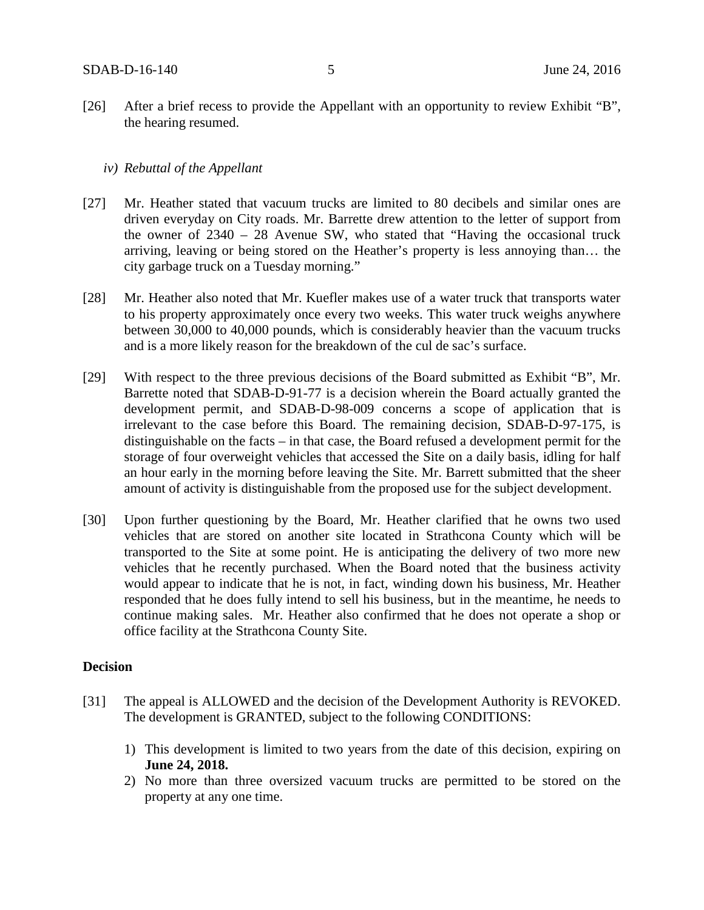[26] After a brief recess to provide the Appellant with an opportunity to review Exhibit "B", the hearing resumed.

# *iv) Rebuttal of the Appellant*

- [27] Mr. Heather stated that vacuum trucks are limited to 80 decibels and similar ones are driven everyday on City roads. Mr. Barrette drew attention to the letter of support from the owner of 2340 – 28 Avenue SW, who stated that "Having the occasional truck arriving, leaving or being stored on the Heather's property is less annoying than… the city garbage truck on a Tuesday morning."
- [28] Mr. Heather also noted that Mr. Kuefler makes use of a water truck that transports water to his property approximately once every two weeks. This water truck weighs anywhere between 30,000 to 40,000 pounds, which is considerably heavier than the vacuum trucks and is a more likely reason for the breakdown of the cul de sac's surface.
- [29] With respect to the three previous decisions of the Board submitted as Exhibit "B", Mr. Barrette noted that SDAB-D-91-77 is a decision wherein the Board actually granted the development permit, and SDAB-D-98-009 concerns a scope of application that is irrelevant to the case before this Board. The remaining decision, SDAB-D-97-175, is distinguishable on the facts – in that case, the Board refused a development permit for the storage of four overweight vehicles that accessed the Site on a daily basis, idling for half an hour early in the morning before leaving the Site. Mr. Barrett submitted that the sheer amount of activity is distinguishable from the proposed use for the subject development.
- [30] Upon further questioning by the Board, Mr. Heather clarified that he owns two used vehicles that are stored on another site located in Strathcona County which will be transported to the Site at some point. He is anticipating the delivery of two more new vehicles that he recently purchased. When the Board noted that the business activity would appear to indicate that he is not, in fact, winding down his business, Mr. Heather responded that he does fully intend to sell his business, but in the meantime, he needs to continue making sales. Mr. Heather also confirmed that he does not operate a shop or office facility at the Strathcona County Site.

## **Decision**

- [31] The appeal is ALLOWED and the decision of the Development Authority is REVOKED. The development is GRANTED, subject to the following CONDITIONS:
	- 1) This development is limited to two years from the date of this decision, expiring on **June 24, 2018.**
	- 2) No more than three oversized vacuum trucks are permitted to be stored on the property at any one time.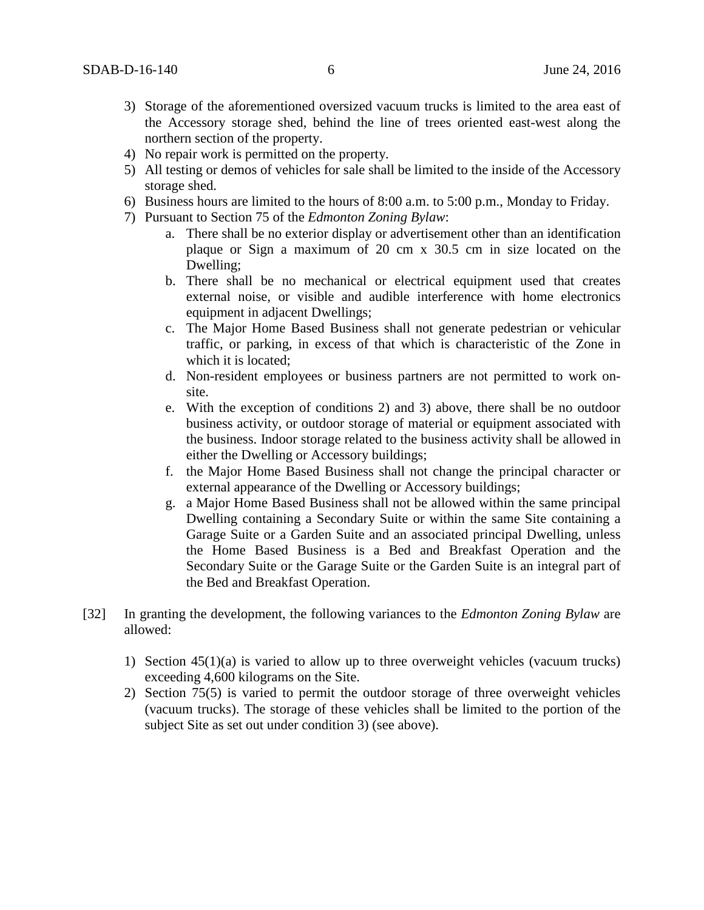- 3) Storage of the aforementioned oversized vacuum trucks is limited to the area east of the Accessory storage shed, behind the line of trees oriented east-west along the northern section of the property.
- 4) No repair work is permitted on the property.
- 5) All testing or demos of vehicles for sale shall be limited to the inside of the Accessory storage shed.
- 6) Business hours are limited to the hours of 8:00 a.m. to 5:00 p.m., Monday to Friday.
- 7) Pursuant to Section 75 of the *Edmonton Zoning Bylaw*:
	- a. There shall be no exterior display or advertisement other than an identification plaque or Sign a maximum of 20 cm x 30.5 cm in size located on the Dwelling;
	- b. There shall be no mechanical or electrical equipment used that creates external noise, or visible and audible interference with home electronics equipment in adjacent Dwellings;
	- c. The Major Home Based Business shall not generate pedestrian or vehicular traffic, or parking, in excess of that which is characteristic of the Zone in which it is located;
	- d. Non-resident employees or business partners are not permitted to work onsite.
	- e. With the exception of conditions 2) and 3) above, there shall be no outdoor business activity, or outdoor storage of material or equipment associated with the business. Indoor storage related to the business activity shall be allowed in either the Dwelling or Accessory buildings;
	- f. the Major Home Based Business shall not change the principal character or external appearance of the Dwelling or Accessory buildings;
	- g. a Major Home Based Business shall not be allowed within the same principal Dwelling containing a Secondary Suite or within the same Site containing a Garage Suite or a Garden Suite and an associated principal Dwelling, unless the Home Based Business is a Bed and Breakfast Operation and the Secondary Suite or the Garage Suite or the Garden Suite is an integral part of the Bed and Breakfast Operation.
- [32] In granting the development, the following variances to the *Edmonton Zoning Bylaw* are allowed:
	- 1) Section 45(1)(a) is varied to allow up to three overweight vehicles (vacuum trucks) exceeding 4,600 kilograms on the Site.
	- 2) Section 75(5) is varied to permit the outdoor storage of three overweight vehicles (vacuum trucks). The storage of these vehicles shall be limited to the portion of the subject Site as set out under condition 3) (see above).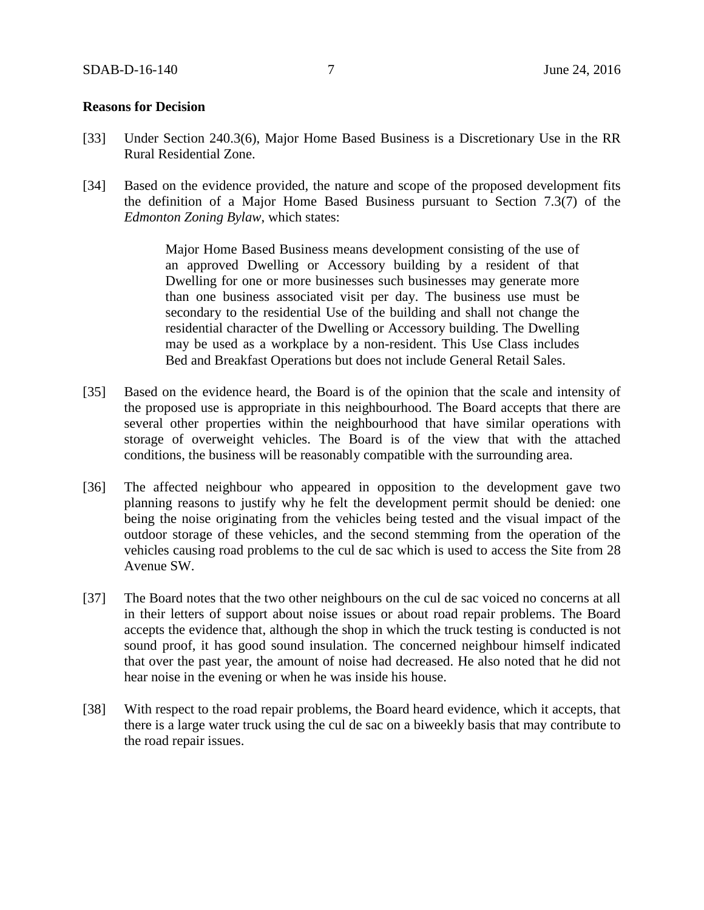### **Reasons for Decision**

- [33] Under Section 240.3(6), Major Home Based Business is a Discretionary Use in the RR Rural Residential Zone.
- [34] Based on the evidence provided, the nature and scope of the proposed development fits the definition of a Major Home Based Business pursuant to Section 7.3(7) of the *Edmonton Zoning Bylaw*, which states:

Major Home Based Business means development consisting of the use of an approved Dwelling or Accessory building by a resident of that Dwelling for one or more businesses such businesses may generate more than one business associated visit per day. The business use must be secondary to the residential Use of the building and shall not change the residential character of the Dwelling or Accessory building. The Dwelling may be used as a workplace by a non-resident. This Use Class includes Bed and Breakfast Operations but does not include General Retail Sales.

- [35] Based on the evidence heard, the Board is of the opinion that the scale and intensity of the proposed use is appropriate in this neighbourhood. The Board accepts that there are several other properties within the neighbourhood that have similar operations with storage of overweight vehicles. The Board is of the view that with the attached conditions, the business will be reasonably compatible with the surrounding area.
- [36] The affected neighbour who appeared in opposition to the development gave two planning reasons to justify why he felt the development permit should be denied: one being the noise originating from the vehicles being tested and the visual impact of the outdoor storage of these vehicles, and the second stemming from the operation of the vehicles causing road problems to the cul de sac which is used to access the Site from 28 Avenue SW.
- [37] The Board notes that the two other neighbours on the cul de sac voiced no concerns at all in their letters of support about noise issues or about road repair problems. The Board accepts the evidence that, although the shop in which the truck testing is conducted is not sound proof, it has good sound insulation. The concerned neighbour himself indicated that over the past year, the amount of noise had decreased. He also noted that he did not hear noise in the evening or when he was inside his house.
- [38] With respect to the road repair problems, the Board heard evidence, which it accepts, that there is a large water truck using the cul de sac on a biweekly basis that may contribute to the road repair issues.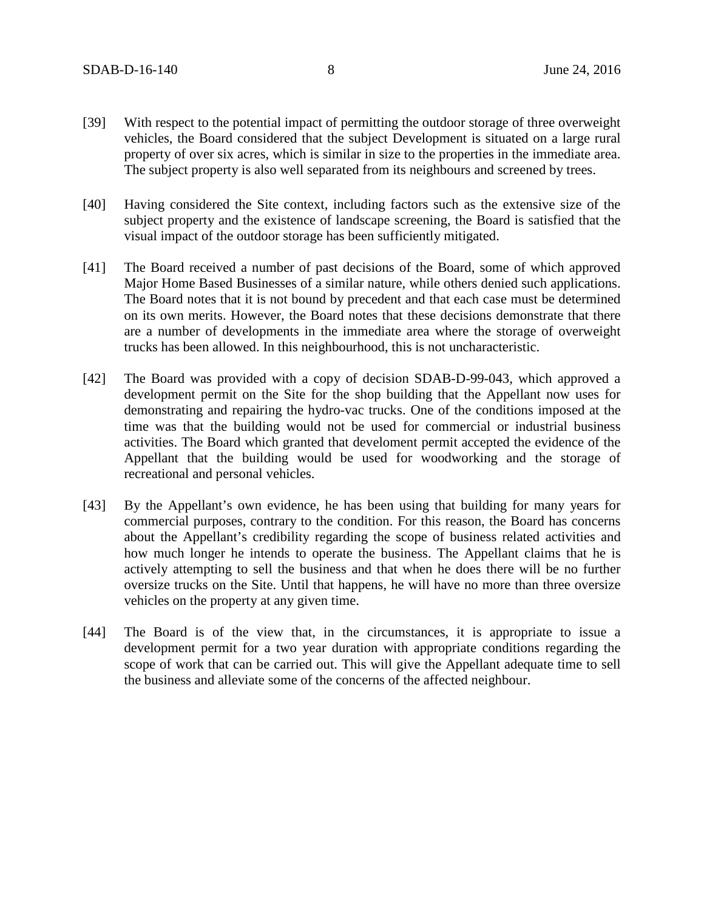- [39] With respect to the potential impact of permitting the outdoor storage of three overweight vehicles, the Board considered that the subject Development is situated on a large rural property of over six acres, which is similar in size to the properties in the immediate area. The subject property is also well separated from its neighbours and screened by trees.
- [40] Having considered the Site context, including factors such as the extensive size of the subject property and the existence of landscape screening, the Board is satisfied that the visual impact of the outdoor storage has been sufficiently mitigated.
- [41] The Board received a number of past decisions of the Board, some of which approved Major Home Based Businesses of a similar nature, while others denied such applications. The Board notes that it is not bound by precedent and that each case must be determined on its own merits. However, the Board notes that these decisions demonstrate that there are a number of developments in the immediate area where the storage of overweight trucks has been allowed. In this neighbourhood, this is not uncharacteristic.
- [42] The Board was provided with a copy of decision SDAB-D-99-043, which approved a development permit on the Site for the shop building that the Appellant now uses for demonstrating and repairing the hydro-vac trucks. One of the conditions imposed at the time was that the building would not be used for commercial or industrial business activities. The Board which granted that develoment permit accepted the evidence of the Appellant that the building would be used for woodworking and the storage of recreational and personal vehicles.
- [43] By the Appellant's own evidence, he has been using that building for many years for commercial purposes, contrary to the condition. For this reason, the Board has concerns about the Appellant's credibility regarding the scope of business related activities and how much longer he intends to operate the business. The Appellant claims that he is actively attempting to sell the business and that when he does there will be no further oversize trucks on the Site. Until that happens, he will have no more than three oversize vehicles on the property at any given time.
- [44] The Board is of the view that, in the circumstances, it is appropriate to issue a development permit for a two year duration with appropriate conditions regarding the scope of work that can be carried out. This will give the Appellant adequate time to sell the business and alleviate some of the concerns of the affected neighbour.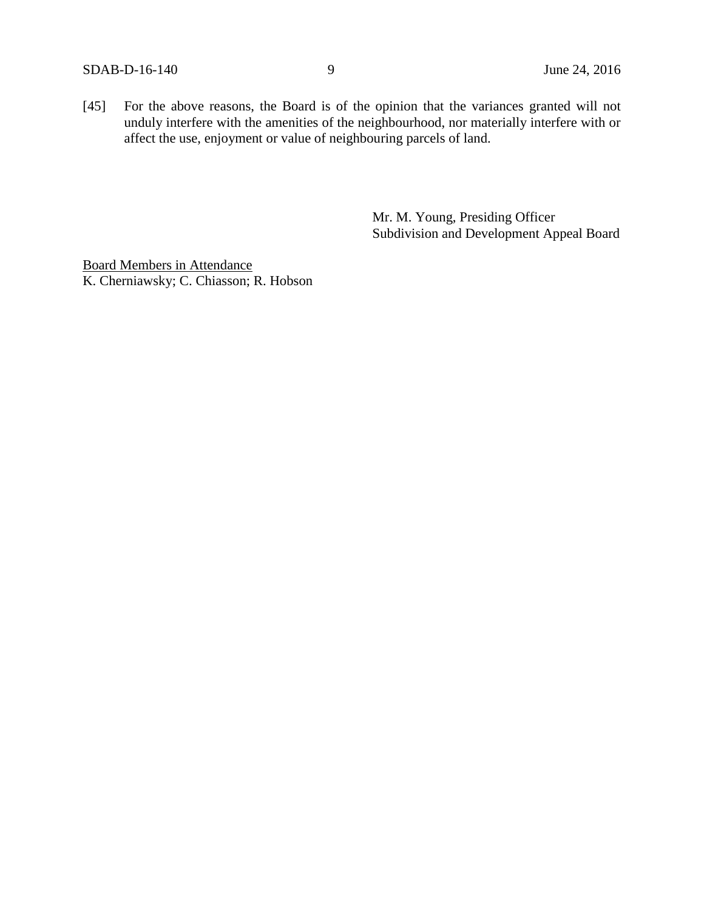[45] For the above reasons, the Board is of the opinion that the variances granted will not unduly interfere with the amenities of the neighbourhood, nor materially interfere with or affect the use, enjoyment or value of neighbouring parcels of land.

> Mr. M. Young, Presiding Officer Subdivision and Development Appeal Board

Board Members in Attendance K. Cherniawsky; C. Chiasson; R. Hobson